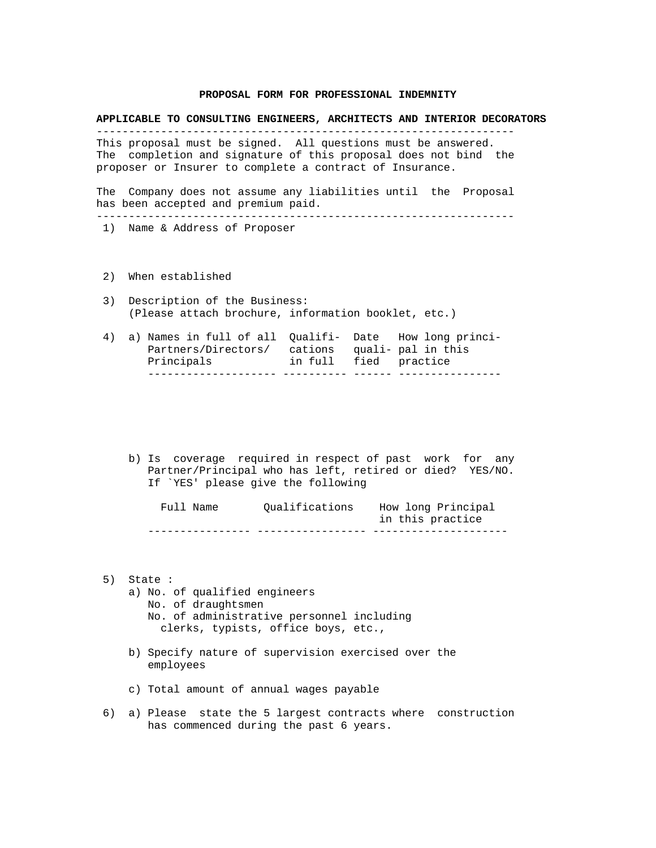### **PROPOSAL FORM FOR PROFESSIONAL INDEMNITY**

#### **APPLICABLE TO CONSULTING ENGINEERS, ARCHITECTS AND INTERIOR DECORATORS**

This proposal must be signed. All questions must be answered. The completion and signature of this proposal does not bind the proposer or Insurer to complete a contract of Insurance.

-----------------------------------------------------------------

The Company does not assume any liabilities until the Proposal has been accepted and premium paid. -----------------------------------------------------------------

- 1) Name & Address of Proposer
- 2) When established
- 3) Description of the Business: (Please attach brochure, information booklet, etc.)
- 4) a) Names in full of all Qualifi- Date How long princi- Partners/Directors/ cations quali- pal in this Principals in full fied practice -------------------- ---------- ------ ---------------
	- b) Is coverage required in respect of past work for any Partner/Principal who has left, retired or died? YES/NO. If `YES' please give the following

 Full Name Qualifications How long Principal in this practice ---------------- ----------------- ---------------------

- 5) State :
	- a) No. of qualified engineers No. of draughtsmen No. of administrative personnel including clerks, typists, office boys, etc.,
	- b) Specify nature of supervision exercised over the employees
	- c) Total amount of annual wages payable
- 6) a) Please state the 5 largest contracts where construction has commenced during the past 6 years.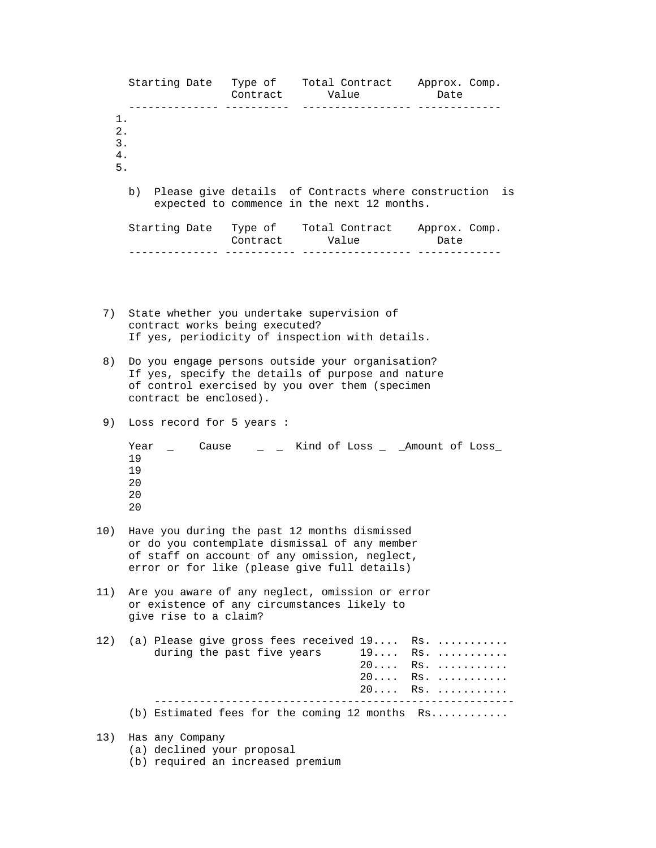|                               | Starting Date Type of Total Contract Approx. Comp.                                                                                                                                             | Contract Value<br>. . <b>.</b> |  |                         | Date                                                                                          |  |  |
|-------------------------------|------------------------------------------------------------------------------------------------------------------------------------------------------------------------------------------------|--------------------------------|--|-------------------------|-----------------------------------------------------------------------------------------------|--|--|
| 1.<br>$2$ .<br>3.<br>4.<br>5. |                                                                                                                                                                                                |                                |  |                         |                                                                                               |  |  |
|                               | b) Please give details of Contracts where construction<br>is<br>expected to commence in the next 12 months.                                                                                    |                                |  |                         |                                                                                               |  |  |
|                               | Starting Date Type of Total Contract Approx. Comp.                                                                                                                                             | Contract Value                 |  |                         | Date                                                                                          |  |  |
| 7)                            |                                                                                                                                                                                                |                                |  |                         |                                                                                               |  |  |
|                               | State whether you undertake supervision of<br>contract works being executed?<br>If yes, periodicity of inspection with details.                                                                |                                |  |                         |                                                                                               |  |  |
| 8)                            | Do you engage persons outside your organisation?<br>If yes, specify the details of purpose and nature<br>of control exercised by you over them (specimen<br>contract be enclosed).             |                                |  |                         |                                                                                               |  |  |
| 9)                            | Loss record for 5 years :                                                                                                                                                                      |                                |  |                         |                                                                                               |  |  |
|                               | Year $\qquad$ Cause $\qquad$ $\qquad$ $\qquad$ Kind of Loss $\qquad$ $\qquad$ Amount of Loss<br>19<br>19<br>20<br>20<br>20                                                                     |                                |  |                         |                                                                                               |  |  |
| 10)                           | Have you during the past 12 months dismissed<br>or do you contemplate dismissal of any member<br>of staff on account of any omission, neglect,<br>error or for like (please give full details) |                                |  |                         |                                                                                               |  |  |
| 11)                           | Are you aware of any neglect, omission or error<br>or existence of any circumstances likely to<br>give rise to a claim?                                                                        |                                |  |                         |                                                                                               |  |  |
| 12)                           | (a) Please give gross fees received 19<br>during the past five years                                                                                                                           |                                |  | $19 \ldots$<br>20<br>20 | $RS.$<br>$RS. \dots \dots \dots \dots$<br>Rs.<br>$RS. \dots \dots \dots \dots$<br>$20$ Rs. $$ |  |  |
|                               | (b) Estimated fees for the coming 12 months Rs                                                                                                                                                 |                                |  |                         |                                                                                               |  |  |
| 13)                           | Has any Company<br>(a) declined your proposal                                                                                                                                                  |                                |  |                         |                                                                                               |  |  |

(b) required an increased premium